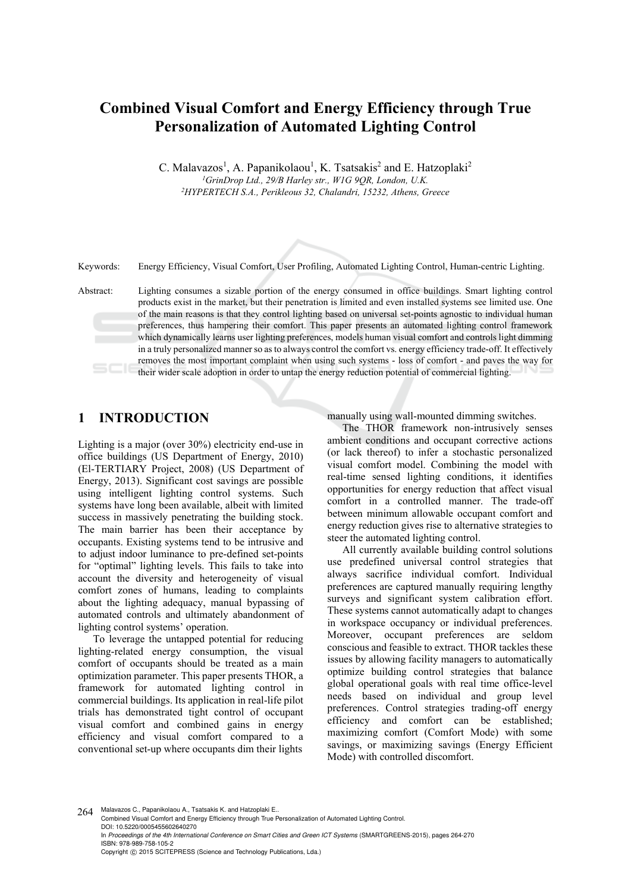## **Combined Visual Comfort and Energy Efficiency through True Personalization of Automated Lighting Control**

C. Malavazos<sup>1</sup>, A. Papanikolaou<sup>1</sup>, K. Tsatsakis<sup>2</sup> and E. Hatzoplaki<sup>2</sup> *1GrinDrop Ltd., 29/B Harley str., W1G 9QR, London, U.K. 2HYPERTECH S.A., Perikleous 32, Chalandri, 15232, Athens, Greece* 

Keywords: Energy Efficiency, Visual Comfort, User Profiling, Automated Lighting Control, Human-centric Lighting.

Abstract: Lighting consumes a sizable portion of the energy consumed in office buildings. Smart lighting control products exist in the market, but their penetration is limited and even installed systems see limited use. One of the main reasons is that they control lighting based on universal set-points agnostic to individual human preferences, thus hampering their comfort. This paper presents an automated lighting control framework which dynamically learns user lighting preferences, models human visual comfort and controls light dimming in a truly personalized manner so as to always control the comfort vs. energy efficiency trade-off. It effectively removes the most important complaint when using such systems - loss of comfort - and paves the way for their wider scale adoption in order to untap the energy reduction potential of commercial lighting.

#### **1 INTRODUCTION**

Lighting is a major (over 30%) electricity end-use in office buildings (US Department of Energy, 2010) (El-TERTIARY Project, 2008) (US Department of Energy, 2013). Significant cost savings are possible using intelligent lighting control systems. Such systems have long been available, albeit with limited success in massively penetrating the building stock. The main barrier has been their acceptance by occupants. Existing systems tend to be intrusive and to adjust indoor luminance to pre-defined set-points for "optimal" lighting levels. This fails to take into account the diversity and heterogeneity of visual comfort zones of humans, leading to complaints about the lighting adequacy, manual bypassing of automated controls and ultimately abandonment of lighting control systems' operation.

To leverage the untapped potential for reducing lighting-related energy consumption, the visual comfort of occupants should be treated as a main optimization parameter. This paper presents THOR, a framework for automated lighting control in commercial buildings. Its application in real-life pilot trials has demonstrated tight control of occupant visual comfort and combined gains in energy efficiency and visual comfort compared to a conventional set-up where occupants dim their lights

manually using wall-mounted dimming switches.

The THOR framework non-intrusively senses ambient conditions and occupant corrective actions (or lack thereof) to infer a stochastic personalized visual comfort model. Combining the model with real-time sensed lighting conditions, it identifies opportunities for energy reduction that affect visual comfort in a controlled manner. The trade-off between minimum allowable occupant comfort and energy reduction gives rise to alternative strategies to steer the automated lighting control.

All currently available building control solutions use predefined universal control strategies that always sacrifice individual comfort. Individual preferences are captured manually requiring lengthy surveys and significant system calibration effort. These systems cannot automatically adapt to changes in workspace occupancy or individual preferences. Moreover, occupant preferences are seldom conscious and feasible to extract. THOR tackles these issues by allowing facility managers to automatically optimize building control strategies that balance global operational goals with real time office-level needs based on individual and group level preferences. Control strategies trading-off energy efficiency and comfort can be established; maximizing comfort (Comfort Mode) with some savings, or maximizing savings (Energy Efficient Mode) with controlled discomfort.

264 Malavazos C., Papanikolaou A., Tsatsakis K. and Hatzoplaki E. Combined Visual Comfort and Energy Efficiency through True Personalization of Automated Lighting Control. DOI: 10.5220/0005455602640270 In *Proceedings of the 4th International Conference on Smart Cities and Green ICT Systems* (SMARTGREENS-2015), pages 264-270 ISBN: 978-989-758-105-2 Copyright © 2015 SCITEPRESS (Science and Technology Publications, Lda.)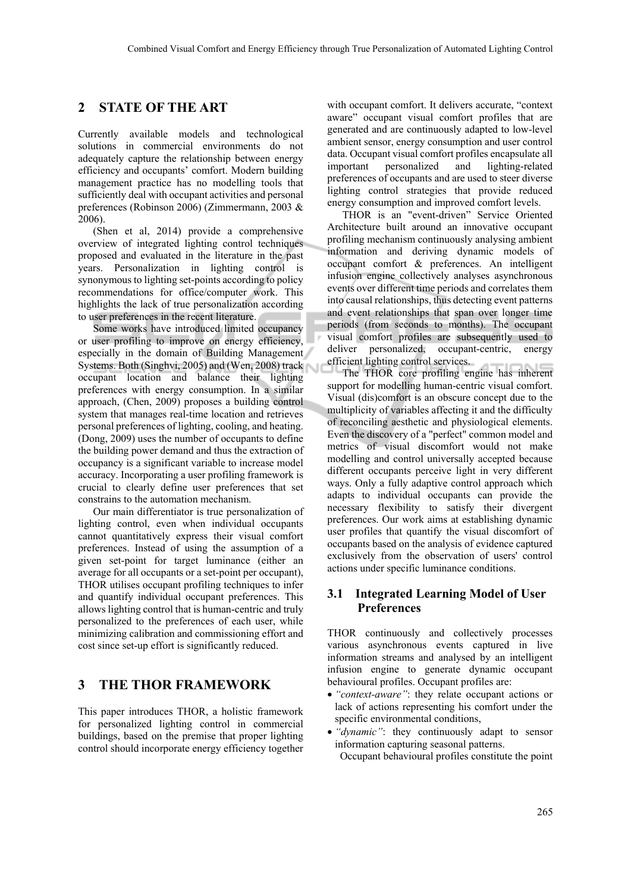#### **2 STATE OF THE ART**

Currently available models and technological solutions in commercial environments do not adequately capture the relationship between energy efficiency and occupants' comfort. Modern building management practice has no modelling tools that sufficiently deal with occupant activities and personal preferences (Robinson 2006) (Zimmermann, 2003 & 2006).

(Shen et al, 2014) provide a comprehensive overview of integrated lighting control techniques proposed and evaluated in the literature in the past years. Personalization in lighting control is synonymous to lighting set-points according to policy recommendations for office/computer work. This highlights the lack of true personalization according to user preferences in the recent literature.

Some works have introduced limited occupancy or user profiling to improve on energy efficiency, especially in the domain of Building Management Systems. Both (Singhvi, 2005) and (Wen, 2008) track occupant location and balance their lighting preferences with energy consumption. In a similar approach, (Chen, 2009) proposes a building control system that manages real-time location and retrieves personal preferences of lighting, cooling, and heating. (Dong, 2009) uses the number of occupants to define the building power demand and thus the extraction of occupancy is a significant variable to increase model accuracy. Incorporating a user profiling framework is crucial to clearly define user preferences that set constrains to the automation mechanism.

Our main differentiator is true personalization of lighting control, even when individual occupants cannot quantitatively express their visual comfort preferences. Instead of using the assumption of a given set-point for target luminance (either an average for all occupants or a set-point per occupant), THOR utilises occupant profiling techniques to infer and quantify individual occupant preferences. This allows lighting control that is human-centric and truly personalized to the preferences of each user, while minimizing calibration and commissioning effort and cost since set-up effort is significantly reduced.

## **3 THE THOR FRAMEWORK**

This paper introduces THOR, a holistic framework for personalized lighting control in commercial buildings, based on the premise that proper lighting control should incorporate energy efficiency together with occupant comfort. It delivers accurate, "context aware" occupant visual comfort profiles that are generated and are continuously adapted to low-level ambient sensor, energy consumption and user control data. Occupant visual comfort profiles encapsulate all important personalized and lighting-related preferences of occupants and are used to steer diverse lighting control strategies that provide reduced energy consumption and improved comfort levels.

THOR is an "event-driven" Service Oriented Architecture built around an innovative occupant profiling mechanism continuously analysing ambient information and deriving dynamic models of occupant comfort & preferences. An intelligent infusion engine collectively analyses asynchronous events over different time periods and correlates them into causal relationships, thus detecting event patterns and event relationships that span over longer time periods (from seconds to months). The occupant visual comfort profiles are subsequently used to deliver personalized, occupant-centric, energy efficient lighting control services.

The THOR core profiling engine has inherent support for modelling human-centric visual comfort. Visual (dis)comfort is an obscure concept due to the multiplicity of variables affecting it and the difficulty of reconciling aesthetic and physiological elements. Even the discovery of a "perfect" common model and metrics of visual discomfort would not make modelling and control universally accepted because different occupants perceive light in very different ways. Only a fully adaptive control approach which adapts to individual occupants can provide the necessary flexibility to satisfy their divergent preferences. Our work aims at establishing dynamic user profiles that quantify the visual discomfort of occupants based on the analysis of evidence captured exclusively from the observation of users' control actions under specific luminance conditions.

#### **3.1 Integrated Learning Model of User Preferences**

THOR continuously and collectively processes various asynchronous events captured in live information streams and analysed by an intelligent infusion engine to generate dynamic occupant behavioural profiles. Occupant profiles are:

- *"context-aware"*: they relate occupant actions or lack of actions representing his comfort under the specific environmental conditions,
- *"dynamic"*: they continuously adapt to sensor information capturing seasonal patterns. Occupant behavioural profiles constitute the point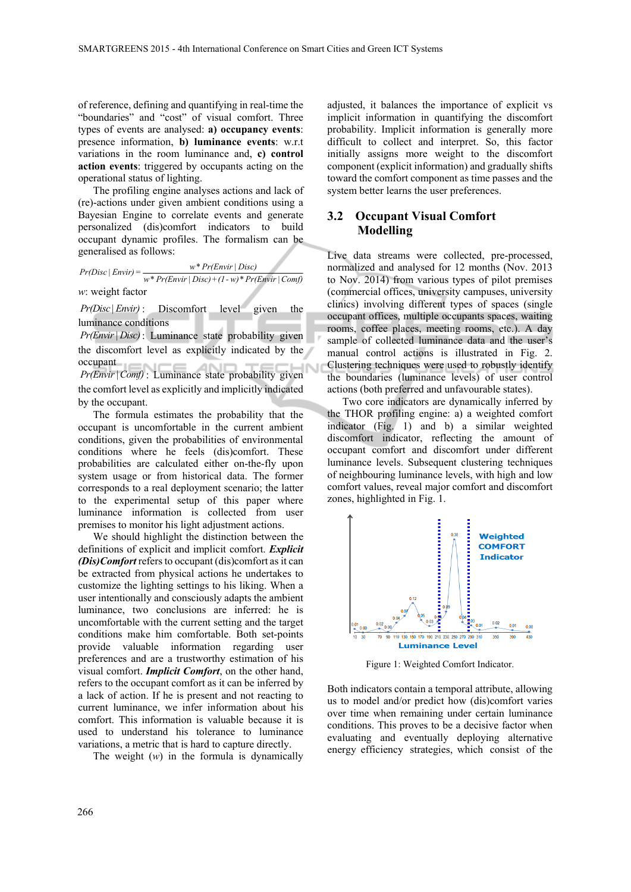of reference, defining and quantifying in real-time the "boundaries" and "cost" of visual comfort. Three types of events are analysed: **a) occupancy events**: presence information, **b) luminance events**: w.r.t variations in the room luminance and, **c) control action events**: triggered by occupants acting on the operational status of lighting.

The profiling engine analyses actions and lack of (re)-actions under given ambient conditions using a Bayesian Engine to correlate events and generate personalized (dis)comfort indicators to build occupant dynamic profiles. The formalism can be generalised as follows:

 $Pr(Disc \mid Envir) = \frac{w * Pr(Envir \mid Disc)}{w * Pr(Envir \mid Disc) + (1-w) * Pr(Envir \mid Comf)}$ *w*: weight factor

*Pr(Disc| Envir)* : Discomfort level given the luminance conditions

*Pr(Envir | Disc)* : Luminance state probability given the discomfort level as explicitly indicated by the occupant

*Pr(Envir* | Comf) : Luminance state probability given the comfort level as explicitly and implicitly indicated by the occupant.

The formula estimates the probability that the occupant is uncomfortable in the current ambient conditions, given the probabilities of environmental conditions where he feels (dis)comfort. These probabilities are calculated either on-the-fly upon system usage or from historical data. The former corresponds to a real deployment scenario; the latter to the experimental setup of this paper where luminance information is collected from user premises to monitor his light adjustment actions.

We should highlight the distinction between the definitions of explicit and implicit comfort. *Explicit (Dis)Comfort* refers to occupant (dis)comfort as it can be extracted from physical actions he undertakes to customize the lighting settings to his liking. When a user intentionally and consciously adapts the ambient luminance, two conclusions are inferred: he is uncomfortable with the current setting and the target conditions make him comfortable. Both set-points provide valuable information regarding user preferences and are a trustworthy estimation of his visual comfort. *Implicit Comfort*, on the other hand, refers to the occupant comfort as it can be inferred by a lack of action. If he is present and not reacting to current luminance, we infer information about his comfort. This information is valuable because it is used to understand his tolerance to luminance variations, a metric that is hard to capture directly.

The weight (*w*) in the formula is dynamically

adjusted, it balances the importance of explicit vs implicit information in quantifying the discomfort probability. Implicit information is generally more difficult to collect and interpret. So, this factor initially assigns more weight to the discomfort component (explicit information) and gradually shifts toward the comfort component as time passes and the system better learns the user preferences.

#### **3.2 Occupant Visual Comfort Modelling**

Live data streams were collected, pre-processed, normalized and analysed for 12 months (Nov. 2013 to Nov. 2014) from various types of pilot premises (commercial offices, university campuses, university clinics) involving different types of spaces (single occupant offices, multiple occupants spaces, waiting rooms, coffee places, meeting rooms, etc.). A day sample of collected luminance data and the user's manual control actions is illustrated in Fig. 2. Clustering techniques were used to robustly identify the boundaries (luminance levels) of user control actions (both preferred and unfavourable states).

Two core indicators are dynamically inferred by the THOR profiling engine: a) a weighted comfort indicator (Fig. 1) and b) a similar weighted discomfort indicator, reflecting the amount of occupant comfort and discomfort under different luminance levels. Subsequent clustering techniques of neighbouring luminance levels, with high and low comfort values, reveal major comfort and discomfort zones, highlighted in Fig. 1.



Figure 1: Weighted Comfort Indicator.

Both indicators contain a temporal attribute, allowing us to model and/or predict how (dis)comfort varies over time when remaining under certain luminance conditions. This proves to be a decisive factor when evaluating and eventually deploying alternative energy efficiency strategies, which consist of the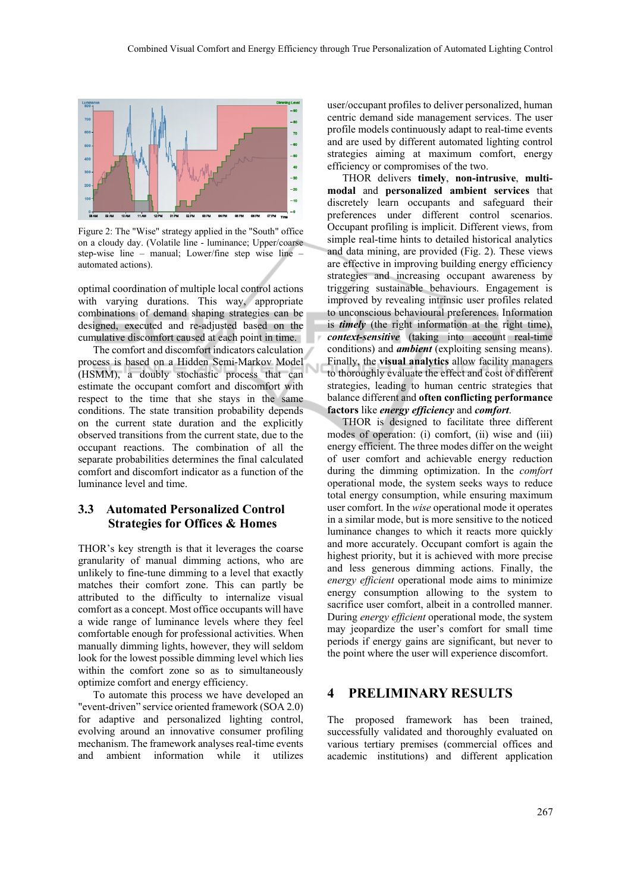

Figure 2: The "Wise" strategy applied in the "South" office on a cloudy day. (Volatile line - luminance; Upper/coarse step-wise line – manual; Lower/fine step wise line – automated actions).

optimal coordination of multiple local control actions with varying durations. This way, appropriate combinations of demand shaping strategies can be designed, executed and re-adjusted based on the cumulative discomfort caused at each point in time.

The comfort and discomfort indicators calculation process is based on a Hidden Semi-Markov Model (HSMM), a doubly stochastic process that can estimate the occupant comfort and discomfort with respect to the time that she stays in the same conditions. The state transition probability depends on the current state duration and the explicitly observed transitions from the current state, due to the occupant reactions. The combination of all the separate probabilities determines the final calculated comfort and discomfort indicator as a function of the luminance level and time.

#### **3.3 Automated Personalized Control Strategies for Offices & Homes**

THOR's key strength is that it leverages the coarse granularity of manual dimming actions, who are unlikely to fine-tune dimming to a level that exactly matches their comfort zone. This can partly be attributed to the difficulty to internalize visual comfort as a concept. Most office occupants will have a wide range of luminance levels where they feel comfortable enough for professional activities. When manually dimming lights, however, they will seldom look for the lowest possible dimming level which lies within the comfort zone so as to simultaneously optimize comfort and energy efficiency.

To automate this process we have developed an "event-driven" service oriented framework (SOA 2.0) for adaptive and personalized lighting control, evolving around an innovative consumer profiling mechanism. The framework analyses real-time events and ambient information while it utilizes

user/occupant profiles to deliver personalized, human centric demand side management services. The user profile models continuously adapt to real-time events and are used by different automated lighting control strategies aiming at maximum comfort, energy efficiency or compromises of the two.

THOR delivers **timely**, **non-intrusive**, **multimodal** and **personalized ambient services** that discretely learn occupants and safeguard their preferences under different control scenarios. Occupant profiling is implicit. Different views, from simple real-time hints to detailed historical analytics and data mining, are provided (Fig. 2). These views are effective in improving building energy efficiency strategies and increasing occupant awareness by triggering sustainable behaviours. Engagement is improved by revealing intrinsic user profiles related to unconscious behavioural preferences. Information is *timely* (the right information at the right time), *context-sensitive* (taking into account real-time conditions) and *ambient* (exploiting sensing means). Finally, the **visual analytics** allow facility managers to thoroughly evaluate the effect and cost of different strategies, leading to human centric strategies that balance different and **often conflicting performance factors** like *energy efficiency* and *comfort*.

THOR is designed to facilitate three different modes of operation: (i) comfort, (ii) wise and (iii) energy efficient. The three modes differ on the weight of user comfort and achievable energy reduction during the dimming optimization. In the *comfort*  operational mode, the system seeks ways to reduce total energy consumption, while ensuring maximum user comfort. In the *wise* operational mode it operates in a similar mode, but is more sensitive to the noticed luminance changes to which it reacts more quickly and more accurately. Occupant comfort is again the highest priority, but it is achieved with more precise and less generous dimming actions. Finally, the *energy efficient* operational mode aims to minimize energy consumption allowing to the system to sacrifice user comfort, albeit in a controlled manner. During *energy efficient* operational mode, the system may jeopardize the user's comfort for small time periods if energy gains are significant, but never to the point where the user will experience discomfort.

#### **4 PRELIMINARY RESULTS**

The proposed framework has been trained, successfully validated and thoroughly evaluated on various tertiary premises (commercial offices and academic institutions) and different application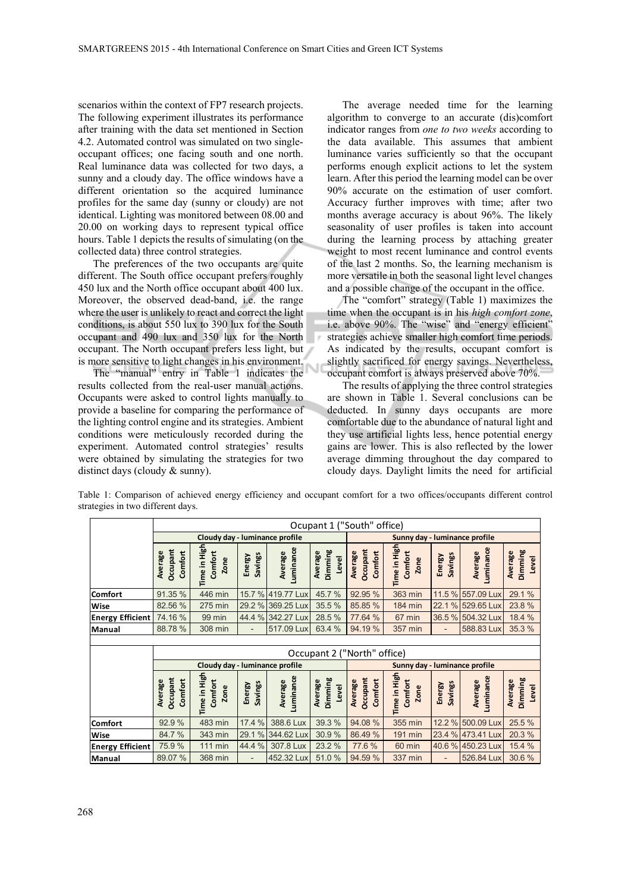scenarios within the context of FP7 research projects. The following experiment illustrates its performance after training with the data set mentioned in Section 4.2. Automated control was simulated on two singleoccupant offices; one facing south and one north. Real luminance data was collected for two days, a sunny and a cloudy day. The office windows have a different orientation so the acquired luminance profiles for the same day (sunny or cloudy) are not identical. Lighting was monitored between 08.00 and 20.00 on working days to represent typical office hours. Table 1 depicts the results of simulating (on the collected data) three control strategies.

The preferences of the two occupants are quite different. The South office occupant prefers roughly 450 lux and the North office occupant about 400 lux. Moreover, the observed dead-band, i.e. the range where the user is unlikely to react and correct the light conditions, is about 550 lux to 390 lux for the South occupant and 490 lux and 350 lux for the North occupant. The North occupant prefers less light, but is more sensitive to light changes in his environment.

The "manual" entry in Table 1 indicates the results collected from the real-user manual actions. Occupants were asked to control lights manually to provide a baseline for comparing the performance of the lighting control engine and its strategies. Ambient conditions were meticulously recorded during the experiment. Automated control strategies' results were obtained by simulating the strategies for two distinct days (cloudy & sunny).

The average needed time for the learning algorithm to converge to an accurate (dis)comfort indicator ranges from *one to two weeks* according to the data available. This assumes that ambient luminance varies sufficiently so that the occupant performs enough explicit actions to let the system learn. After this period the learning model can be over 90% accurate on the estimation of user comfort. Accuracy further improves with time; after two months average accuracy is about 96%. The likely seasonality of user profiles is taken into account during the learning process by attaching greater weight to most recent luminance and control events of the last 2 months. So, the learning mechanism is more versatile in both the seasonal light level changes and a possible change of the occupant in the office.

The "comfort" strategy (Table 1) maximizes the time when the occupant is in his *high comfort zone*, i.e. above 90%. The "wise" and "energy efficient" strategies achieve smaller high comfort time periods. As indicated by the results, occupant comfort is slightly sacrificed for energy savings. Nevertheless, occupant comfort is always preserved above 70%.

The results of applying the three control strategies are shown in Table 1. Several conclusions can be deducted. In sunny days occupants are more comfortable due to the abundance of natural light and they use artificial lights less, hence potential energy gains are lower. This is also reflected by the lower average dimming throughout the day compared to cloudy days. Daylight limits the need for artificial

|                         | Ocupant 1 ("South" office)            |                                        |                   |                      |                             |                                |                                        |                          |                      |                             |
|-------------------------|---------------------------------------|----------------------------------------|-------------------|----------------------|-----------------------------|--------------------------------|----------------------------------------|--------------------------|----------------------|-----------------------------|
|                         | Cloudy day - luminance profile        |                                        |                   |                      |                             | Sunny day - luminance profile  |                                        |                          |                      |                             |
|                         | Occupant<br>Comfort<br>Average        | Time in High<br>Comfort<br>Zone        | Savings<br>Energy | Luminance<br>Average | Dimming<br>Average<br>Level | Occupant<br>Comfort<br>Average | Time in High<br>Comfort<br><b>Zone</b> | <b>Savings</b><br>Energy | Luminance<br>Average | Dimming<br>Average<br>Level |
| Comfort                 | 91.35 %                               | 446 min                                | 15.7 %            | 419.77 Lux           | 45.7%                       | 92.95 %                        | 363 min                                | 11.5 %                   | 557.09 Lux           | 29.1 %                      |
| Wise                    | 82.56 %                               | 275 min                                | 29.2 %            | 369.25 Lux           | 35.5 %                      | 85.85 %                        | <b>184 min</b>                         | 22.1<br>$\%$             | 529.65 Lux           | 23.8 %                      |
| <b>Energy Efficient</b> | 74.16 %                               | 99 min                                 | 44.4 %            | 342.27 Lux           | 28.5 %                      | 77.64 %                        | 67 min                                 |                          | 36.5 % 504.32 Lux    | 18.4 %                      |
| Manual                  | 88.78%                                | 308 min                                |                   | 517.09 Lux           | 63.4 %                      | 94.19%                         | 357 min                                | -                        | 588.83 Lux           | 35.3 %                      |
|                         |                                       |                                        |                   |                      |                             |                                |                                        |                          |                      |                             |
|                         | Occupant 2 ("North" office)           |                                        |                   |                      |                             |                                |                                        |                          |                      |                             |
|                         | Cloudy day - luminance profile        |                                        |                   |                      |                             |                                |                                        |                          |                      |                             |
|                         |                                       |                                        |                   |                      |                             |                                | Sunny day - luminance profile          |                          |                      |                             |
|                         | <b>Dccupant</b><br>Comfort<br>Average | Time in High<br>Comfort<br><b>Zone</b> | Savings<br>Energy | Luminance<br>Average | Dimming<br>Average<br>Level | Occupant<br>Comfort<br>Average | Time in High<br>Comfort<br>Zone        | <b>Savings</b><br>Energy | Luminance<br>Average | Dimming<br>Average<br>Level |
| Comfort                 | 92.9%                                 | 483 min                                | 17.4 %            | 388.6 Lux            | 39.3 %                      | 94.08 %                        | 355 min                                |                          | 12.2 % 500.09 Lux    | 25.5 %                      |
| Wise                    | 84.7%                                 | 343 min                                | 29.1 %            | 344.62 Lux           | 30.9%                       | 86.49%                         | <b>191 min</b>                         |                          | 23.4 % 473.41 Lux    | 20.3 %                      |
| <b>Energy Efficient</b> | 75.9%                                 | <b>111 min</b>                         | 44.4 %            | 307.8 Lux            | 23.2 %                      | 77.6%                          | 60 min                                 |                          | 40.6 % 450.23 Lux    | 15.4 %                      |

Table 1: Comparison of achieved energy efficiency and occupant comfort for a two offices/occupants different control strategies in two different days.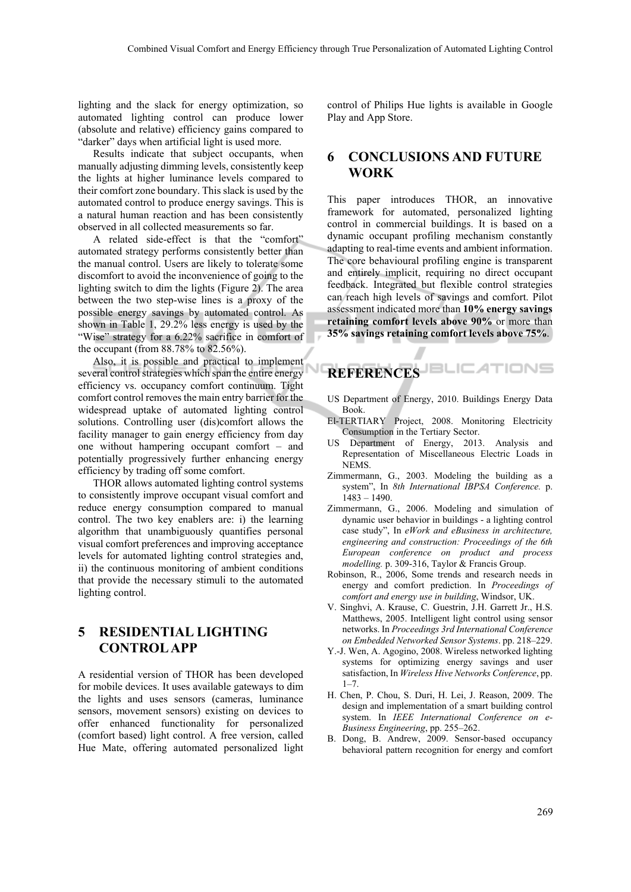lighting and the slack for energy optimization, so automated lighting control can produce lower (absolute and relative) efficiency gains compared to "darker" days when artificial light is used more.

Results indicate that subject occupants, when manually adjusting dimming levels, consistently keep the lights at higher luminance levels compared to their comfort zone boundary. This slack is used by the automated control to produce energy savings. This is a natural human reaction and has been consistently observed in all collected measurements so far.

A related side-effect is that the "comfort" automated strategy performs consistently better than the manual control. Users are likely to tolerate some discomfort to avoid the inconvenience of going to the lighting switch to dim the lights (Figure 2). The area between the two step-wise lines is a proxy of the possible energy savings by automated control. As shown in Table 1, 29.2% less energy is used by the "Wise" strategy for a 6.22% sacrifice in comfort of the occupant (from 88.78% to 82.56%).

Also, it is possible and practical to implement several control strategies which span the entire energy efficiency vs. occupancy comfort continuum. Tight comfort control removes the main entry barrier for the widespread uptake of automated lighting control solutions. Controlling user (dis)comfort allows the facility manager to gain energy efficiency from day one without hampering occupant comfort – and potentially progressively further enhancing energy efficiency by trading off some comfort.

THOR allows automated lighting control systems to consistently improve occupant visual comfort and reduce energy consumption compared to manual control. The two key enablers are: i) the learning algorithm that unambiguously quantifies personal visual comfort preferences and improving acceptance levels for automated lighting control strategies and, ii) the continuous monitoring of ambient conditions that provide the necessary stimuli to the automated lighting control.

## **5 RESIDENTIAL LIGHTING CONTROL APP**

A residential version of THOR has been developed for mobile devices. It uses available gateways to dim the lights and uses sensors (cameras, luminance sensors, movement sensors) existing on devices to offer enhanced functionality for personalized (comfort based) light control. A free version, called Hue Mate, offering automated personalized light control of Philips Hue lights is available in Google Play and App Store.

#### **6 CONCLUSIONS AND FUTURE WORK**

This paper introduces THOR, an innovative framework for automated, personalized lighting control in commercial buildings. It is based on a dynamic occupant profiling mechanism constantly adapting to real-time events and ambient information. The core behavioural profiling engine is transparent and entirely implicit, requiring no direct occupant feedback. Integrated but flexible control strategies can reach high levels of savings and comfort. Pilot assessment indicated more than **10% energy savings retaining comfort levels above 90%** or more than **35% savings retaining comfort levels above 75%**.

# **REFERENCES**

- US Department of Energy, 2010. Buildings Energy Data Book.
- El-TERTIARY Project, 2008. Monitoring Electricity Consumption in the Tertiary Sector.
- US Department of Energy, 2013. Analysis and Representation of Miscellaneous Electric Loads in NEMS.
- Zimmermann, G., 2003. Modeling the building as a system", In *8th International IBPSA Conference.* p. 1483 – 1490.
- Zimmermann, G., 2006. Modeling and simulation of dynamic user behavior in buildings - a lighting control case study", In *eWork and eBusiness in architecture, engineering and construction: Proceedings of the 6th European conference on product and process modelling.* p. 309-316, Taylor & Francis Group.
- Robinson, R., 2006, Some trends and research needs in energy and comfort prediction. In *Proceedings of comfort and energy use in building*, Windsor, UK.
- V. Singhvi, A. Krause, C. Guestrin, J.H. Garrett Jr., H.S. Matthews, 2005. Intelligent light control using sensor networks. In *Proceedings 3rd International Conference on Embedded Networked Sensor Systems*. pp. 218–229.
- Y.-J. Wen, A. Agogino, 2008. Wireless networked lighting systems for optimizing energy savings and user satisfaction, In *Wireless Hive Networks Conference*, pp.  $1 - 7$ .
- H. Chen, P. Chou, S. Duri, H. Lei, J. Reason, 2009. The design and implementation of a smart building control system. In *IEEE International Conference on e-Business Engineering*, pp. 255–262.
- B. Dong, B. Andrew, 2009. Sensor-based occupancy behavioral pattern recognition for energy and comfort